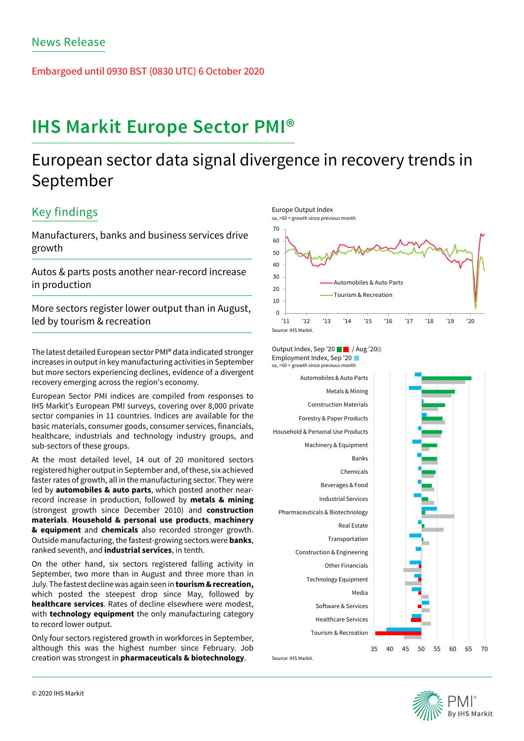Embargoed until 0930 BST (0830 UTC) 6 October 2020

# **IHS Markit Europe Sector PMI®**

## European sector data signal divergence in recovery trends in September

### Key findings

Manufacturers, banks and business services drive growth

Autos & parts posts another near-record increase in production

More sectors register lower output than in August, led by tourism & recreation

The latest detailed European sector PMI® data indicated stronger increases in output in key manufacturing activities in September but more sectors experiencing declines, evidence of a divergent recovery emerging across the region's economy.

European Sector PMI indices are compiled from responses to IHS Markit's European PMI surveys, covering over 8,000 private sector companies in 11 countries. Indices are available for the basic materials, consumer goods, consumer services, financials, healthcare, industrials and technology industry groups, and sub-sectors of these groups.

At the most detailed level, 14 out of 20 monitored sectors registered higher output in September and, of these, six achieved faster rates of growth, all in the manufacturing sector. They were led by **automobiles & auto parts**, which posted another nearrecord increase in production, followed by **metals & mining** (strongest growth since December 2010) and **construction materials**. **Household & personal use products**, **machinery & equipment** and **chemicals** also recorded stronger growth. Outside manufacturing, the fastest-growing sectors were **banks**, ranked seventh, and **industrial services**, in tenth.

On the other hand, six sectors registered falling activity in September, two more than in August and three more than in July. The fastest decline was again seen in **tourism & recreation,**  which posted the steepest drop since May, followed by **healthcare services**. Rates of decline elsewhere were modest, with **technology equipment** the only manufacturing category to record lower output.

Only four sectors registered growth in workforces in September, although this was the highest number since February. Job creation was strongest in **pharmaceuticals & biotechnology**.



Output Index, Sep '20 | | | Aug '20 Employment Index, Sep '20



Source: IHS Markit.